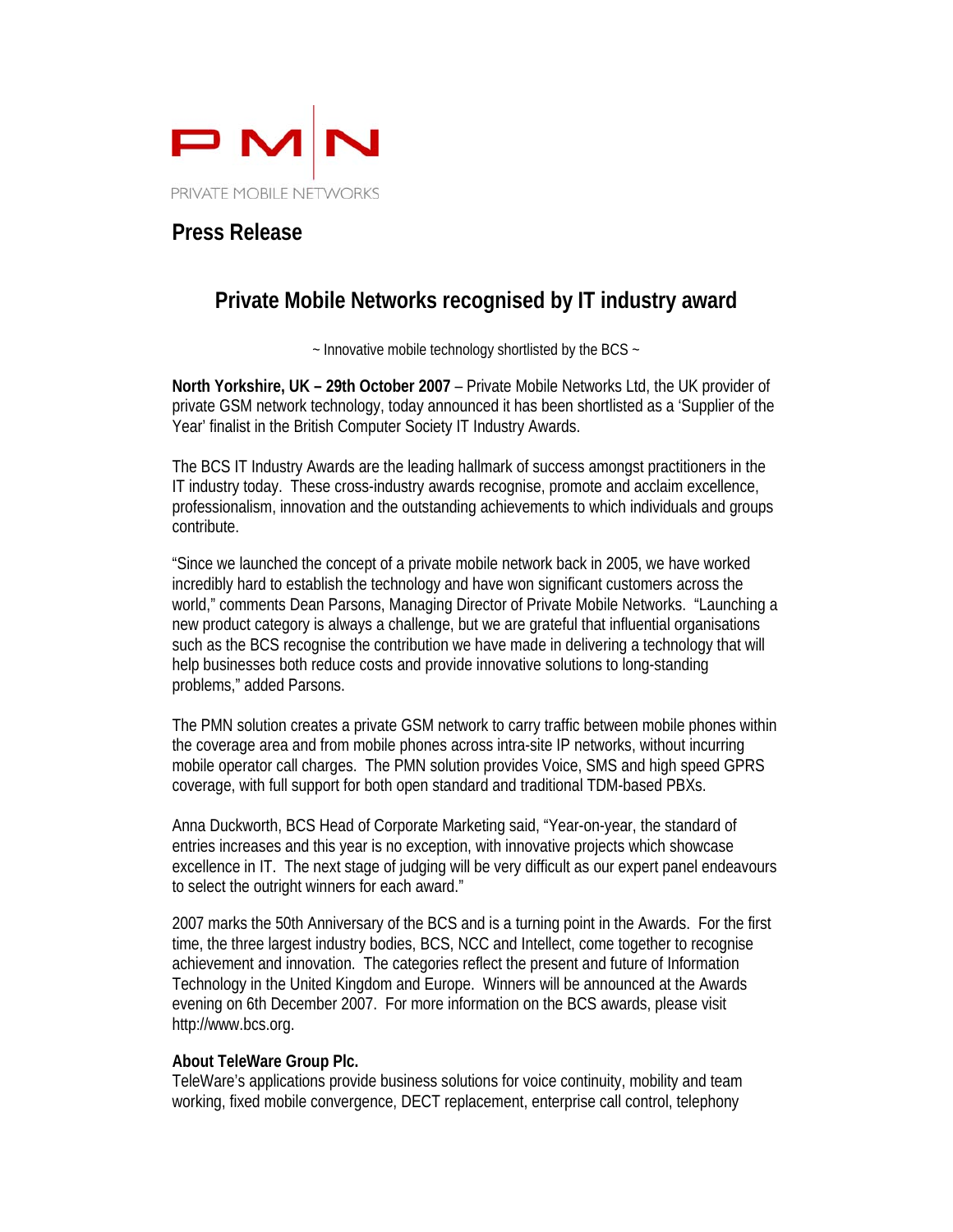

## **Press Release**

## **Private Mobile Networks recognised by IT industry award**

~ Innovative mobile technology shortlisted by the BCS ~

**North Yorkshire, UK – 29th October 2007** – Private Mobile Networks Ltd, the UK provider of private GSM network technology, today announced it has been shortlisted as a 'Supplier of the Year' finalist in the British Computer Society IT Industry Awards.

The BCS IT Industry Awards are the leading hallmark of success amongst practitioners in the IT industry today. These cross-industry awards recognise, promote and acclaim excellence, professionalism, innovation and the outstanding achievements to which individuals and groups contribute.

"Since we launched the concept of a private mobile network back in 2005, we have worked incredibly hard to establish the technology and have won significant customers across the world," comments Dean Parsons, Managing Director of Private Mobile Networks. "Launching a new product category is always a challenge, but we are grateful that influential organisations such as the BCS recognise the contribution we have made in delivering a technology that will help businesses both reduce costs and provide innovative solutions to long-standing problems," added Parsons.

The PMN solution creates a private GSM network to carry traffic between mobile phones within the coverage area and from mobile phones across intra-site IP networks, without incurring mobile operator call charges. The PMN solution provides Voice, SMS and high speed GPRS coverage, with full support for both open standard and traditional TDM-based PBXs.

Anna Duckworth, BCS Head of Corporate Marketing said, "Year-on-year, the standard of entries increases and this year is no exception, with innovative projects which showcase excellence in IT. The next stage of judging will be very difficult as our expert panel endeavours to select the outright winners for each award."

2007 marks the 50th Anniversary of the BCS and is a turning point in the Awards. For the first time, the three largest industry bodies, BCS, NCC and Intellect, come together to recognise achievement and innovation. The categories reflect the present and future of Information Technology in the United Kingdom and Europe. Winners will be announced at the Awards evening on 6th December 2007. For more information on the BCS awards, please visit http://www.bcs.org.

## **About TeleWare Group Plc.**

TeleWare's applications provide business solutions for voice continuity, mobility and team working, fixed mobile convergence, DECT replacement, enterprise call control, telephony